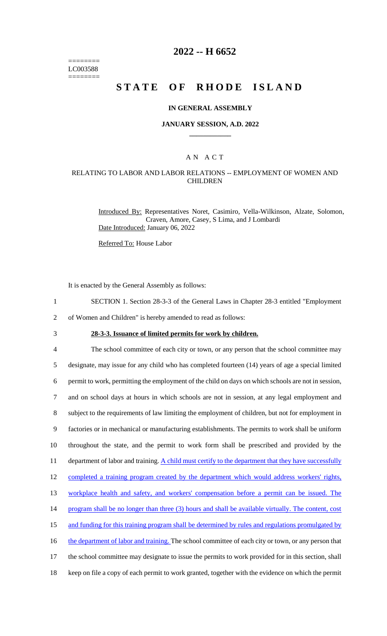======== LC003588 ========

### **2022 -- H 6652**

# **STATE OF RHODE ISLAND**

#### **IN GENERAL ASSEMBLY**

#### **JANUARY SESSION, A.D. 2022 \_\_\_\_\_\_\_\_\_\_\_\_**

### A N A C T

### RELATING TO LABOR AND LABOR RELATIONS -- EMPLOYMENT OF WOMEN AND **CHILDREN**

Introduced By: Representatives Noret, Casimiro, Vella-Wilkinson, Alzate, Solomon, Craven, Amore, Casey, S Lima, and J Lombardi Date Introduced: January 06, 2022

Referred To: House Labor

It is enacted by the General Assembly as follows:

- 1 SECTION 1. Section 28-3-3 of the General Laws in Chapter 28-3 entitled "Employment
- 2 of Women and Children" is hereby amended to read as follows:
- 

3 **28-3-3. Issuance of limited permits for work by children.**

4 The school committee of each city or town, or any person that the school committee may 5 designate, may issue for any child who has completed fourteen (14) years of age a special limited 6 permit to work, permitting the employment of the child on days on which schools are not in session, 7 and on school days at hours in which schools are not in session, at any legal employment and 8 subject to the requirements of law limiting the employment of children, but not for employment in 9 factories or in mechanical or manufacturing establishments. The permits to work shall be uniform 10 throughout the state, and the permit to work form shall be prescribed and provided by the 11 department of labor and training. A child must certify to the department that they have successfully 12 completed a training program created by the department which would address workers' rights, 13 workplace health and safety, and workers' compensation before a permit can be issued. The 14 program shall be no longer than three (3) hours and shall be available virtually. The content, cost 15 and funding for this training program shall be determined by rules and regulations promulgated by 16 the department of labor and training. The school committee of each city or town, or any person that 17 the school committee may designate to issue the permits to work provided for in this section, shall 18 keep on file a copy of each permit to work granted, together with the evidence on which the permit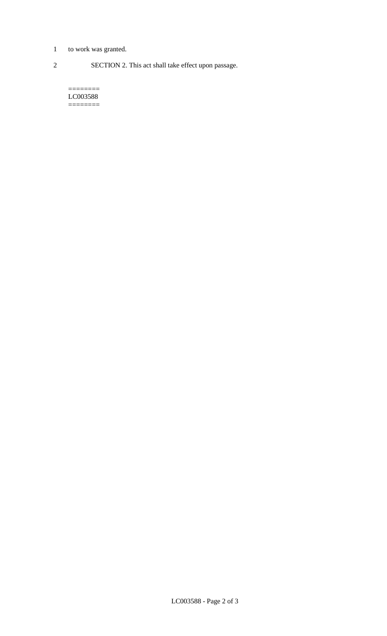- 1 to work was granted.
- 

2 SECTION 2. This act shall take effect upon passage.

======== LC003588 ========